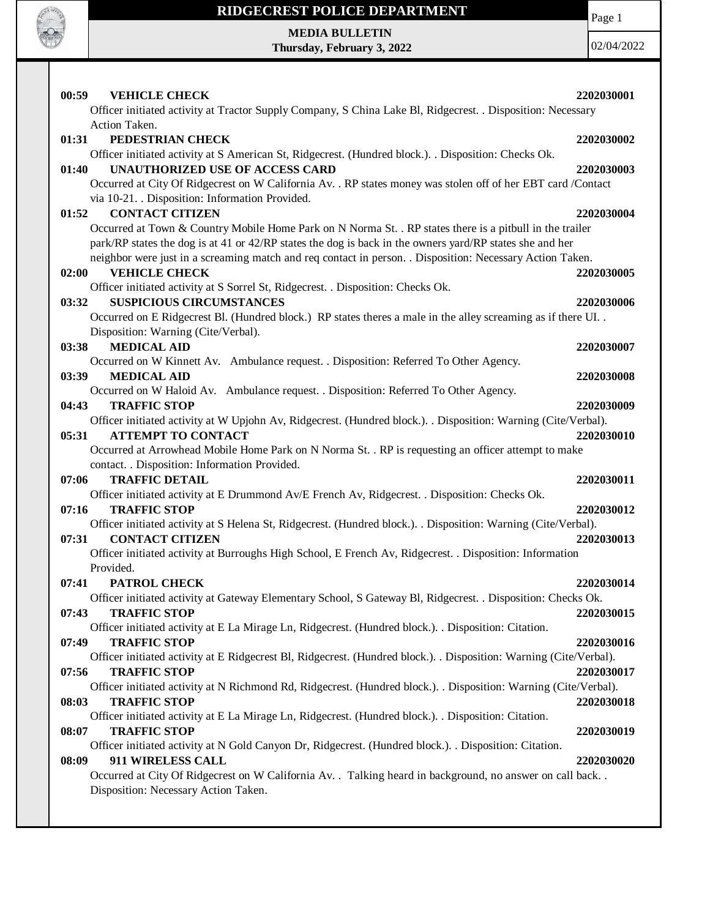

Page 1

**MEDIA BULLETIN Thursday, February 3, 2022**

| 00:59<br><b>VEHICLE CHECK</b>                                                                                                        | 2202030001 |
|--------------------------------------------------------------------------------------------------------------------------------------|------------|
| Officer initiated activity at Tractor Supply Company, S China Lake Bl, Ridgecrest. . Disposition: Necessary                          |            |
| Action Taken.                                                                                                                        |            |
| 01:31<br>PEDESTRIAN CHECK                                                                                                            | 2202030002 |
| Officer initiated activity at S American St, Ridgecrest. (Hundred block.). . Disposition: Checks Ok.                                 |            |
| 01:40<br><b>UNAUTHORIZED USE OF ACCESS CARD</b>                                                                                      | 2202030003 |
| Occurred at City Of Ridgecrest on W California Av. . RP states money was stolen off of her EBT card /Contact                         |            |
| via 10-21. Disposition: Information Provided.                                                                                        |            |
| <b>CONTACT CITIZEN</b><br>01:52                                                                                                      | 2202030004 |
| Occurred at Town & Country Mobile Home Park on N Norma St. . RP states there is a pitbull in the trailer                             |            |
| park/RP states the dog is at 41 or 42/RP states the dog is back in the owners yard/RP states she and her                             |            |
| neighbor were just in a screaming match and req contact in person. . Disposition: Necessary Action Taken.                            |            |
| <b>VEHICLE CHECK</b><br>02:00                                                                                                        | 2202030005 |
| Officer initiated activity at S Sorrel St, Ridgecrest. . Disposition: Checks Ok.                                                     |            |
| <b>SUSPICIOUS CIRCUMSTANCES</b><br>03:32                                                                                             | 2202030006 |
| Occurred on E Ridgecrest Bl. (Hundred block.) RP states theres a male in the alley screaming as if there UI                          |            |
| Disposition: Warning (Cite/Verbal).                                                                                                  |            |
| <b>MEDICAL AID</b><br>03:38                                                                                                          | 2202030007 |
| Occurred on W Kinnett Av. Ambulance request. . Disposition: Referred To Other Agency.                                                |            |
| <b>MEDICAL AID</b><br>03:39                                                                                                          | 2202030008 |
| Occurred on W Haloid Av. Ambulance request. . Disposition: Referred To Other Agency.                                                 |            |
| 04:43<br><b>TRAFFIC STOP</b>                                                                                                         | 2202030009 |
| Officer initiated activity at W Upjohn Av, Ridgecrest. (Hundred block.). Disposition: Warning (Cite/Verbal).                         |            |
| <b>ATTEMPT TO CONTACT</b><br>05:31                                                                                                   | 2202030010 |
| Occurred at Arrowhead Mobile Home Park on N Norma St. . RP is requesting an officer attempt to make                                  |            |
| contact. . Disposition: Information Provided.                                                                                        |            |
| <b>TRAFFIC DETAIL</b><br>07:06                                                                                                       | 2202030011 |
| Officer initiated activity at E Drummond Av/E French Av, Ridgecrest. . Disposition: Checks Ok.                                       |            |
| <b>TRAFFIC STOP</b><br>07:16                                                                                                         | 2202030012 |
| Officer initiated activity at S Helena St, Ridgecrest. (Hundred block.). . Disposition: Warning (Cite/Verbal).                       |            |
| <b>CONTACT CITIZEN</b><br>07:31                                                                                                      | 2202030013 |
| Officer initiated activity at Burroughs High School, E French Av, Ridgecrest. . Disposition: Information                             |            |
| Provided.<br>07:41                                                                                                                   |            |
| PATROL CHECK<br>Officer initiated activity at Gateway Elementary School, S Gateway Bl, Ridgecrest. . Disposition: Checks Ok.         | 2202030014 |
|                                                                                                                                      |            |
| <b>TRAFFIC STOP</b><br>07:43<br>Officer initiated activity at E La Mirage Ln, Ridgecrest. (Hundred block.). . Disposition: Citation. | 2202030015 |
| 07:49<br><b>TRAFFIC STOP</b>                                                                                                         | 2202030016 |
| Officer initiated activity at E Ridgecrest Bl, Ridgecrest. (Hundred block.). Disposition: Warning (Cite/Verbal).                     |            |
| 07:56<br><b>TRAFFIC STOP</b>                                                                                                         | 2202030017 |
| Officer initiated activity at N Richmond Rd, Ridgecrest. (Hundred block.). . Disposition: Warning (Cite/Verbal).                     |            |
| <b>TRAFFIC STOP</b><br>08:03                                                                                                         | 2202030018 |
| Officer initiated activity at E La Mirage Ln, Ridgecrest. (Hundred block.). . Disposition: Citation.                                 |            |
| <b>TRAFFIC STOP</b><br>08:07                                                                                                         | 2202030019 |
| Officer initiated activity at N Gold Canyon Dr, Ridgecrest. (Hundred block.). . Disposition: Citation.                               |            |
| 08:09<br>911 WIRELESS CALL                                                                                                           | 2202030020 |
| Occurred at City Of Ridgecrest on W California Av. . Talking heard in background, no answer on call back. .                          |            |
| Disposition: Necessary Action Taken.                                                                                                 |            |
|                                                                                                                                      |            |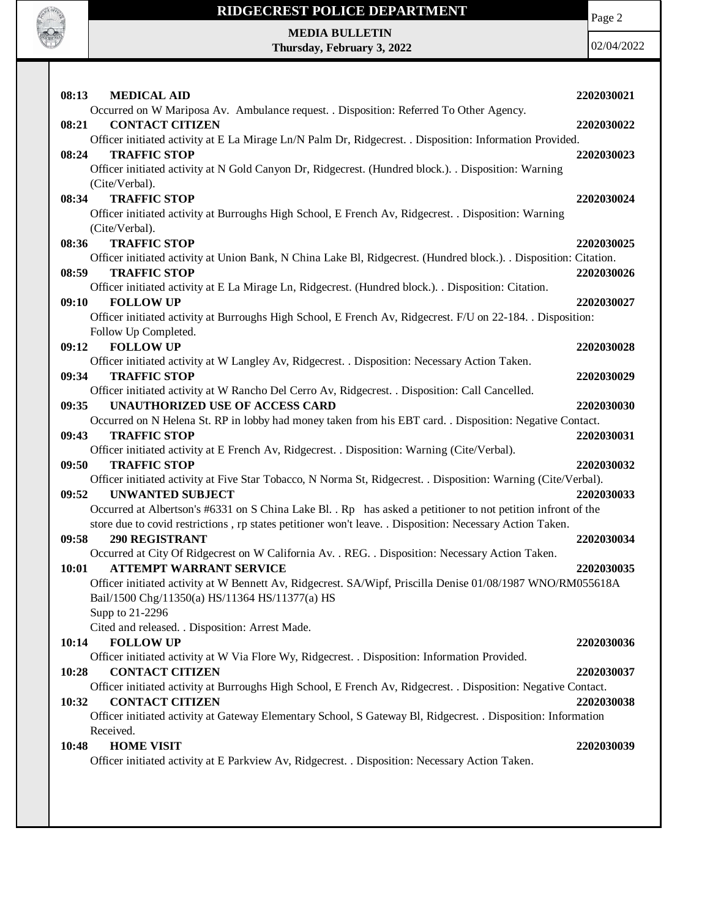

Page 2

**MEDIA BULLETIN Thursday, February 3, 2022**

| <b>MEDICAL AID</b><br>08:13                                                                                                                                                                                               | 2202030021 |
|---------------------------------------------------------------------------------------------------------------------------------------------------------------------------------------------------------------------------|------------|
| Occurred on W Mariposa Av. Ambulance request. . Disposition: Referred To Other Agency.<br><b>CONTACT CITIZEN</b><br>08:21                                                                                                 | 2202030022 |
| Officer initiated activity at E La Mirage Ln/N Palm Dr, Ridgecrest. . Disposition: Information Provided.<br><b>TRAFFIC STOP</b><br>08:24                                                                                  | 2202030023 |
| Officer initiated activity at N Gold Canyon Dr, Ridgecrest. (Hundred block.). . Disposition: Warning<br>(Cite/Verbal).                                                                                                    |            |
| <b>TRAFFIC STOP</b><br>08:34<br>Officer initiated activity at Burroughs High School, E French Av, Ridgecrest. . Disposition: Warning                                                                                      | 2202030024 |
| (Cite/Verbal).<br><b>TRAFFIC STOP</b><br>08:36                                                                                                                                                                            | 2202030025 |
| Officer initiated activity at Union Bank, N China Lake Bl, Ridgecrest. (Hundred block.). . Disposition: Citation.<br>08:59<br><b>TRAFFIC STOP</b>                                                                         | 2202030026 |
| Officer initiated activity at E La Mirage Ln, Ridgecrest. (Hundred block.). . Disposition: Citation.<br>09:10<br><b>FOLLOW UP</b>                                                                                         | 2202030027 |
| Officer initiated activity at Burroughs High School, E French Av, Ridgecrest. F/U on 22-184. . Disposition:<br>Follow Up Completed.                                                                                       |            |
| 09:12<br><b>FOLLOW UP</b>                                                                                                                                                                                                 | 2202030028 |
| Officer initiated activity at W Langley Av, Ridgecrest. . Disposition: Necessary Action Taken.<br><b>TRAFFIC STOP</b><br>09:34                                                                                            | 2202030029 |
| Officer initiated activity at W Rancho Del Cerro Av, Ridgecrest. . Disposition: Call Cancelled.<br><b>UNAUTHORIZED USE OF ACCESS CARD</b><br>09:35                                                                        | 2202030030 |
| Occurred on N Helena St. RP in lobby had money taken from his EBT card. . Disposition: Negative Contact.<br><b>TRAFFIC STOP</b><br>09:43                                                                                  | 2202030031 |
| Officer initiated activity at E French Av, Ridgecrest. . Disposition: Warning (Cite/Verbal).<br><b>TRAFFIC STOP</b><br>09:50                                                                                              | 2202030032 |
| Officer initiated activity at Five Star Tobacco, N Norma St, Ridgecrest. . Disposition: Warning (Cite/Verbal).<br><b>UNWANTED SUBJECT</b><br>09:52                                                                        | 2202030033 |
| Occurred at Albertson's #6331 on S China Lake Bl. . Rp has asked a petitioner to not petition infront of the<br>store due to covid restrictions, rp states petitioner won't leave. . Disposition: Necessary Action Taken. |            |
| 09:58<br><b>290 REGISTRANT</b><br>Occurred at City Of Ridgecrest on W California Av. . REG. . Disposition: Necessary Action Taken.                                                                                        | 2202030034 |
| 10:01<br><b>ATTEMPT WARRANT SERVICE</b><br>Officer initiated activity at W Bennett Av, Ridgecrest. SA/Wipf, Priscilla Denise 01/08/1987 WNO/RM055618A                                                                     | 2202030035 |
| Bail/1500 Chg/11350(a) HS/11364 HS/11377(a) HS<br>Supp to 21-2296                                                                                                                                                         |            |
| Cited and released. . Disposition: Arrest Made.<br><b>FOLLOW UP</b><br>10:14                                                                                                                                              | 2202030036 |
| Officer initiated activity at W Via Flore Wy, Ridgecrest. . Disposition: Information Provided.<br><b>CONTACT CITIZEN</b><br>10:28                                                                                         | 2202030037 |
| Officer initiated activity at Burroughs High School, E French Av, Ridgecrest. . Disposition: Negative Contact.<br><b>CONTACT CITIZEN</b><br>10:32                                                                         | 2202030038 |
| Officer initiated activity at Gateway Elementary School, S Gateway Bl, Ridgecrest. . Disposition: Information<br>Received.                                                                                                |            |
| <b>HOME VISIT</b><br>10:48<br>Officer initiated activity at E Parkview Av, Ridgecrest. . Disposition: Necessary Action Taken.                                                                                             | 2202030039 |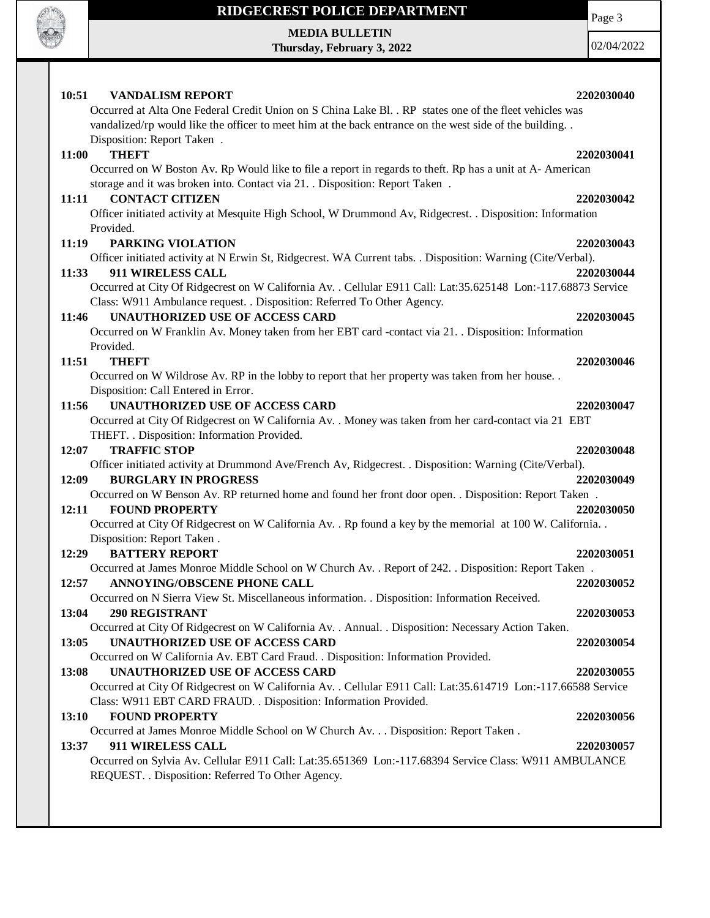

**MEDIA BULLETIN Thursday, February 3, 2022** Page 3

| 10:51<br><b>VANDALISM REPORT</b>                                                                              | 2202030040 |
|---------------------------------------------------------------------------------------------------------------|------------|
| Occurred at Alta One Federal Credit Union on S China Lake Bl. . RP states one of the fleet vehicles was       |            |
| vandalized/rp would like the officer to meet him at the back entrance on the west side of the building. .     |            |
| Disposition: Report Taken.                                                                                    |            |
| <b>THEFT</b><br>11:00                                                                                         | 2202030041 |
| Occurred on W Boston Av. Rp Would like to file a report in regards to theft. Rp has a unit at A-American      |            |
| storage and it was broken into. Contact via 21. . Disposition: Report Taken.                                  |            |
| 11:11<br><b>CONTACT CITIZEN</b>                                                                               | 2202030042 |
| Officer initiated activity at Mesquite High School, W Drummond Av, Ridgecrest. . Disposition: Information     |            |
| Provided.                                                                                                     |            |
| PARKING VIOLATION<br>11:19                                                                                    | 2202030043 |
| Officer initiated activity at N Erwin St, Ridgecrest. WA Current tabs. . Disposition: Warning (Cite/Verbal).  |            |
| 11:33<br>911 WIRELESS CALL                                                                                    | 2202030044 |
| Occurred at City Of Ridgecrest on W California Av. . Cellular E911 Call: Lat:35.625148 Lon:-117.68873 Service |            |
| Class: W911 Ambulance request. . Disposition: Referred To Other Agency.                                       |            |
| <b>UNAUTHORIZED USE OF ACCESS CARD</b><br>11:46                                                               | 2202030045 |
| Occurred on W Franklin Av. Money taken from her EBT card -contact via 21. . Disposition: Information          |            |
| Provided.                                                                                                     |            |
| <b>THEFT</b><br>11:51                                                                                         | 2202030046 |
| Occurred on W Wildrose Av. RP in the lobby to report that her property was taken from her house               |            |
| Disposition: Call Entered in Error.                                                                           |            |
| 11:56<br>UNAUTHORIZED USE OF ACCESS CARD                                                                      | 2202030047 |
| Occurred at City Of Ridgecrest on W California Av. . Money was taken from her card-contact via 21 EBT         |            |
| THEFT. . Disposition: Information Provided.                                                                   |            |
| <b>TRAFFIC STOP</b><br>12:07                                                                                  | 2202030048 |
| Officer initiated activity at Drummond Ave/French Av, Ridgecrest. . Disposition: Warning (Cite/Verbal).       |            |
| <b>BURGLARY IN PROGRESS</b><br>12:09                                                                          | 2202030049 |
| Occurred on W Benson Av. RP returned home and found her front door open. . Disposition: Report Taken.         |            |
| 12:11<br><b>FOUND PROPERTY</b>                                                                                | 2202030050 |
| Occurred at City Of Ridgecrest on W California Av. . Rp found a key by the memorial at 100 W. California. .   |            |
| Disposition: Report Taken.                                                                                    |            |
| 12:29<br><b>BATTERY REPORT</b>                                                                                | 2202030051 |
| Occurred at James Monroe Middle School on W Church Av. . Report of 242. . Disposition: Report Taken.          |            |
| 12:57<br>ANNOYING/OBSCENE PHONE CALL                                                                          | 2202030052 |
| Occurred on N Sierra View St. Miscellaneous information. . Disposition: Information Received.                 |            |
| <b>290 REGISTRANT</b><br>13:04                                                                                | 2202030053 |
| Occurred at City Of Ridgecrest on W California Av. . Annual. . Disposition: Necessary Action Taken.           |            |
| 13:05<br><b>UNAUTHORIZED USE OF ACCESS CARD</b>                                                               | 2202030054 |
| Occurred on W California Av. EBT Card Fraud. . Disposition: Information Provided.                             |            |
| 13:08<br><b>UNAUTHORIZED USE OF ACCESS CARD</b>                                                               | 2202030055 |
| Occurred at City Of Ridgecrest on W California Av. . Cellular E911 Call: Lat:35.614719 Lon:-117.66588 Service |            |
| Class: W911 EBT CARD FRAUD. . Disposition: Information Provided.                                              |            |
| <b>FOUND PROPERTY</b><br>13:10                                                                                | 2202030056 |
| Occurred at James Monroe Middle School on W Church Av. Disposition: Report Taken .                            |            |
| 13:37<br>911 WIRELESS CALL                                                                                    | 2202030057 |
| Occurred on Sylvia Av. Cellular E911 Call: Lat:35.651369 Lon:-117.68394 Service Class: W911 AMBULANCE         |            |
| REQUEST. . Disposition: Referred To Other Agency.                                                             |            |
|                                                                                                               |            |
|                                                                                                               |            |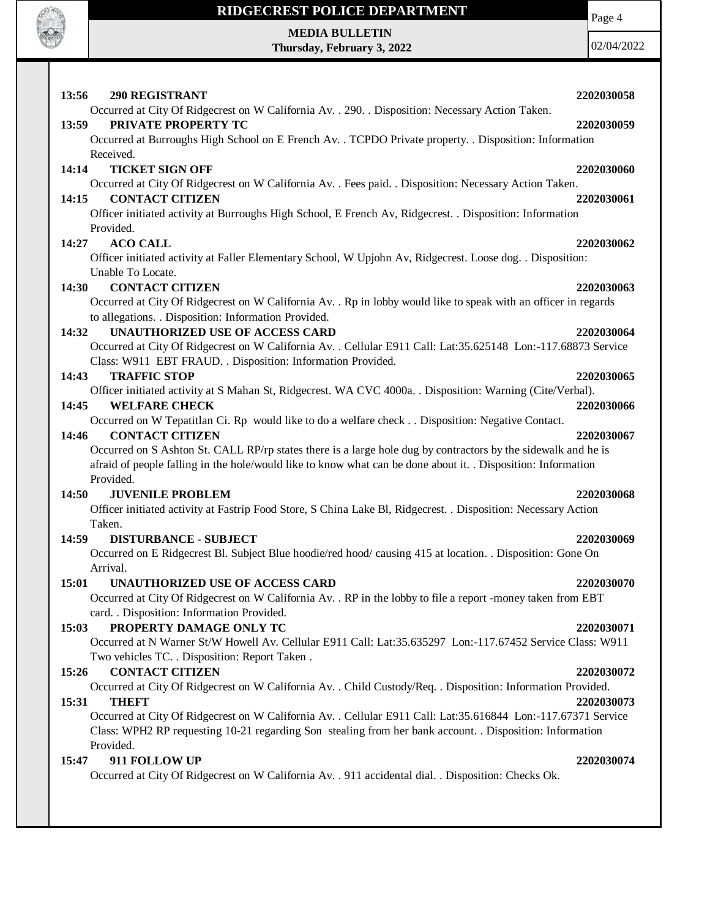

# **RIDGECREST POLICE DEPARTMENT MEDIA BULLETIN**

**Thursday, February 3, 2022**

Page 4

| 13:56<br><b>290 REGISTRANT</b>                                                                                                | 2202030058 |
|-------------------------------------------------------------------------------------------------------------------------------|------------|
| Occurred at City Of Ridgecrest on W California Av. . 290. . Disposition: Necessary Action Taken.                              |            |
| 13:59<br>PRIVATE PROPERTY TC                                                                                                  | 2202030059 |
| Occurred at Burroughs High School on E French Av. . TCPDO Private property. . Disposition: Information                        |            |
| Received.                                                                                                                     |            |
| 14:14<br><b>TICKET SIGN OFF</b>                                                                                               | 2202030060 |
| Occurred at City Of Ridgecrest on W California Av. . Fees paid. . Disposition: Necessary Action Taken.                        |            |
| <b>CONTACT CITIZEN</b><br>14:15                                                                                               | 2202030061 |
| Officer initiated activity at Burroughs High School, E French Av, Ridgecrest. . Disposition: Information                      |            |
| Provided.                                                                                                                     |            |
| <b>ACO CALL</b><br>14:27                                                                                                      | 2202030062 |
| Officer initiated activity at Faller Elementary School, W Upjohn Av, Ridgecrest. Loose dog. . Disposition:                    |            |
| Unable To Locate.                                                                                                             |            |
| <b>CONTACT CITIZEN</b><br>14:30                                                                                               | 2202030063 |
| Occurred at City Of Ridgecrest on W California Av. . Rp in lobby would like to speak with an officer in regards               |            |
| to allegations. . Disposition: Information Provided.                                                                          |            |
| <b>UNAUTHORIZED USE OF ACCESS CARD</b><br>14:32                                                                               | 2202030064 |
| Occurred at City Of Ridgecrest on W California Av. . Cellular E911 Call: Lat:35.625148 Lon:-117.68873 Service                 |            |
| Class: W911 EBT FRAUD. . Disposition: Information Provided.                                                                   |            |
| <b>TRAFFIC STOP</b><br>14:43                                                                                                  | 2202030065 |
| Officer initiated activity at S Mahan St, Ridgecrest. WA CVC 4000a. . Disposition: Warning (Cite/Verbal).                     |            |
| <b>WELFARE CHECK</b><br>14:45                                                                                                 | 2202030066 |
| Occurred on W Tepatitlan Ci. Rp would like to do a welfare check Disposition: Negative Contact.                               |            |
| 14:46<br><b>CONTACT CITIZEN</b>                                                                                               | 2202030067 |
| Occurred on S Ashton St. CALL RP/rp states there is a large hole dug by contractors by the sidewalk and he is                 |            |
| afraid of people falling in the hole/would like to know what can be done about it. . Disposition: Information                 |            |
| Provided.                                                                                                                     |            |
| 14:50<br><b>JUVENILE PROBLEM</b>                                                                                              | 2202030068 |
| Officer initiated activity at Fastrip Food Store, S China Lake Bl, Ridgecrest. . Disposition: Necessary Action                |            |
| Taken.                                                                                                                        |            |
| <b>DISTURBANCE - SUBJECT</b><br>14:59                                                                                         | 2202030069 |
|                                                                                                                               |            |
| Occurred on E Ridgecrest Bl. Subject Blue hoodie/red hood/ causing 415 at location. . Disposition: Gone On<br>Arrival.        |            |
| <b>UNAUTHORIZED USE OF ACCESS CARD</b>                                                                                        |            |
| 15:01                                                                                                                         | 2202030070 |
| Occurred at City Of Ridgecrest on W California Av. . RP in the lobby to file a report -money taken from EBT                   |            |
| card. . Disposition: Information Provided.                                                                                    |            |
| PROPERTY DAMAGE ONLY TC<br>15:03                                                                                              | 2202030071 |
| Occurred at N Warner St/W Howell Av. Cellular E911 Call: Lat:35.635297 Lon:-117.67452 Service Class: W911                     |            |
| Two vehicles TC. . Disposition: Report Taken .                                                                                |            |
| 15:26<br><b>CONTACT CITIZEN</b>                                                                                               | 2202030072 |
| Occurred at City Of Ridgecrest on W California Av. . Child Custody/Req. . Disposition: Information Provided.                  |            |
| 15:31<br><b>THEFT</b>                                                                                                         | 2202030073 |
| Occurred at City Of Ridgecrest on W California Av. . Cellular E911 Call: Lat:35.616844 Lon:-117.67371 Service                 |            |
| Class: WPH2 RP requesting 10-21 regarding Son stealing from her bank account. . Disposition: Information                      |            |
| Provided.                                                                                                                     |            |
|                                                                                                                               |            |
| 911 FOLLOW UP<br>15:47<br>Occurred at City Of Ridgecrest on W California Av. . 911 accidental dial. . Disposition: Checks Ok. | 2202030074 |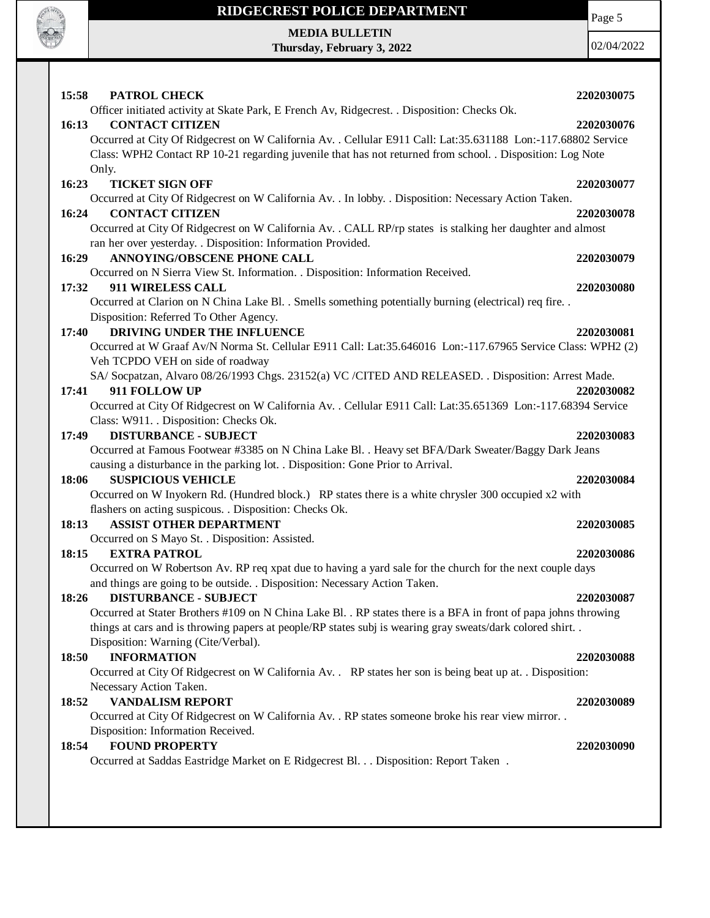

**MEDIA BULLETIN Thursday, February 3, 2022** Page 5

| 15:58<br>PATROL CHECK                                                                                                                                                                                                       | 2202030075 |
|-----------------------------------------------------------------------------------------------------------------------------------------------------------------------------------------------------------------------------|------------|
| Officer initiated activity at Skate Park, E French Av, Ridgecrest. . Disposition: Checks Ok.                                                                                                                                |            |
| <b>CONTACT CITIZEN</b><br>16:13                                                                                                                                                                                             | 2202030076 |
| Occurred at City Of Ridgecrest on W California Av. . Cellular E911 Call: Lat:35.631188 Lon:-117.68802 Service                                                                                                               |            |
| Class: WPH2 Contact RP 10-21 regarding juvenile that has not returned from school. . Disposition: Log Note                                                                                                                  |            |
| Only.<br><b>TICKET SIGN OFF</b><br>16:23                                                                                                                                                                                    | 2202030077 |
| Occurred at City Of Ridgecrest on W California Av. . In lobby. . Disposition: Necessary Action Taken.                                                                                                                       |            |
| 16:24<br><b>CONTACT CITIZEN</b>                                                                                                                                                                                             | 2202030078 |
| Occurred at City Of Ridgecrest on W California Av. . CALL RP/rp states is stalking her daughter and almost                                                                                                                  |            |
| ran her over yesterday. . Disposition: Information Provided.                                                                                                                                                                |            |
| ANNOYING/OBSCENE PHONE CALL<br>16:29                                                                                                                                                                                        | 2202030079 |
| Occurred on N Sierra View St. Information. . Disposition: Information Received.                                                                                                                                             |            |
| 17:32<br>911 WIRELESS CALL                                                                                                                                                                                                  | 2202030080 |
| Occurred at Clarion on N China Lake Bl. . Smells something potentially burning (electrical) req fire. .                                                                                                                     |            |
| Disposition: Referred To Other Agency.                                                                                                                                                                                      |            |
| DRIVING UNDER THE INFLUENCE<br>17:40                                                                                                                                                                                        | 2202030081 |
| Occurred at W Graaf Av/N Norma St. Cellular E911 Call: Lat:35.646016 Lon:-117.67965 Service Class: WPH2 (2)                                                                                                                 |            |
| Veh TCPDO VEH on side of roadway                                                                                                                                                                                            |            |
| SA/Socpatzan, Alvaro 08/26/1993 Chgs. 23152(a) VC /CITED AND RELEASED. . Disposition: Arrest Made.                                                                                                                          |            |
| 911 FOLLOW UP<br>17:41                                                                                                                                                                                                      | 2202030082 |
| Occurred at City Of Ridgecrest on W California Av. . Cellular E911 Call: Lat:35.651369 Lon:-117.68394 Service                                                                                                               |            |
| Class: W911. . Disposition: Checks Ok.                                                                                                                                                                                      |            |
| <b>DISTURBANCE - SUBJECT</b><br>17:49                                                                                                                                                                                       | 2202030083 |
| Occurred at Famous Footwear #3385 on N China Lake Bl. . Heavy set BFA/Dark Sweater/Baggy Dark Jeans                                                                                                                         |            |
| causing a disturbance in the parking lot. . Disposition: Gone Prior to Arrival.                                                                                                                                             |            |
| <b>SUSPICIOUS VEHICLE</b><br>18:06                                                                                                                                                                                          | 2202030084 |
| Occurred on W Inyokern Rd. (Hundred block.) RP states there is a white chrysler 300 occupied x2 with                                                                                                                        |            |
| flashers on acting suspicous. . Disposition: Checks Ok.                                                                                                                                                                     |            |
| <b>ASSIST OTHER DEPARTMENT</b><br>18:13                                                                                                                                                                                     | 2202030085 |
| Occurred on S Mayo St. . Disposition: Assisted.                                                                                                                                                                             |            |
| <b>EXTRA PATROL</b><br>18:15                                                                                                                                                                                                | 2202030086 |
| Occurred on W Robertson Av. RP req xpat due to having a yard sale for the church for the next couple days                                                                                                                   |            |
| and things are going to be outside. . Disposition: Necessary Action Taken.                                                                                                                                                  |            |
| <b>DISTURBANCE - SUBJECT</b><br>18:26                                                                                                                                                                                       | 2202030087 |
| Occurred at Stater Brothers #109 on N China Lake Bl. . RP states there is a BFA in front of papa johns throwing<br>things at cars and is throwing papers at people/RP states subj is wearing gray sweats/dark colored shirt |            |
| Disposition: Warning (Cite/Verbal).                                                                                                                                                                                         |            |
| 18:50<br><b>INFORMATION</b>                                                                                                                                                                                                 | 2202030088 |
| Occurred at City Of Ridgecrest on W California Av. . RP states her son is being beat up at. . Disposition:                                                                                                                  |            |
| Necessary Action Taken.                                                                                                                                                                                                     |            |
| <b>VANDALISM REPORT</b><br>18:52                                                                                                                                                                                            | 2202030089 |
| Occurred at City Of Ridgecrest on W California Av. . RP states someone broke his rear view mirror. .                                                                                                                        |            |
| Disposition: Information Received.                                                                                                                                                                                          |            |
| <b>FOUND PROPERTY</b><br>18:54                                                                                                                                                                                              | 2202030090 |
| Occurred at Saddas Eastridge Market on E Ridgecrest Bl. Disposition: Report Taken.                                                                                                                                          |            |
|                                                                                                                                                                                                                             |            |
|                                                                                                                                                                                                                             |            |
|                                                                                                                                                                                                                             |            |